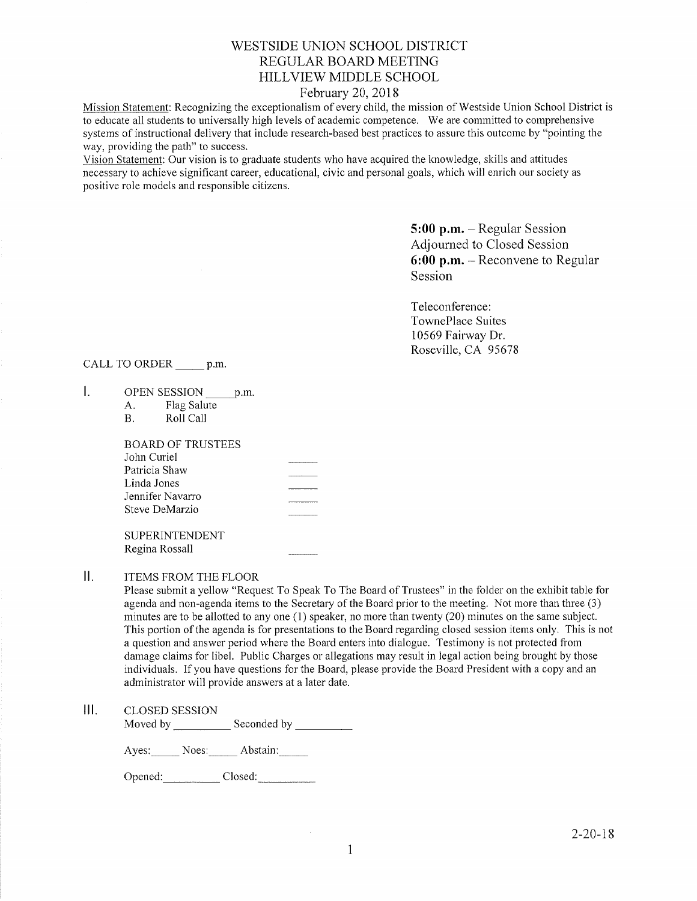# WESTSIDE UNION SCHOOL DISTRICT REGULAR BOARD MEETING HILLVIEW MIDDLE SCHOOL

## February 20,2018

Mission Statement: Recognizing the exceptionalism of every child, the mission of Westside Union School District is to educate all students to universally high levels of academic competence. We are committed to comprehensive systems of instructional delivery that include research-based best practices to assure this outcome by "pointing the way, providing the path" to success.

Vision Statement: Our vision is to graduate students who have acquired the knowledge, skills and attitudes necessary to achieve significant career, educational, civic and personal goals, which will emich our society as positive role models and responsible citizens.

> $5:00$  p.m. - Regular Session Adjourned to Closed Session 6:00 p,m. - Reconvene to Regular Session

Teleconference: TownePlace Suites 10569 Fairway Dr. Roseville, CA <sup>95678</sup>

CALL TO ORDER p.m.

- $\mathbf{L}$ OPEN SESSION p.m.<br>A. Flag Salute<br>B. Roll Call
	-

| BOARD OF TRUSTEES |  |
|-------------------|--|
| John Curiel       |  |
| Patricia Shaw     |  |
| Linda Jones       |  |
| Jennifer Navarro  |  |
| Steve DeMarzio    |  |
|                   |  |

SUPERINTENDENT Regina Rossall

 $\mathbf{II}$ . ITEMS FROM THE FLOOR

> Please submit a yellow "Request To Speak To The Board of Trustees" in the folder on the exhibit table for agenda and non-agenda items to the Secretary of the Board prior to the meeting. Not more than three (3) minutes are to be allotted to any one (1) speaker, no more than twenty (20) minutes on the same subject. This portion of the agenda is for presentations to the Board regarding closed session items only. This is not a question and answer period where the Board enters into dialogue. Testimony is not protected from damage claims for libel. Public Charges or allegations may result in legal action being brought by those individuals. If you have questions for the Board, please provide the Board President with a copy and an administrator will provide answers at a later date.

#### $III.$ CLOSED SESSION

Moved by \_\_\_\_\_\_\_\_\_\_\_\_ Seconded by

Ayes: Noes: Abstain:

Opened: Closed: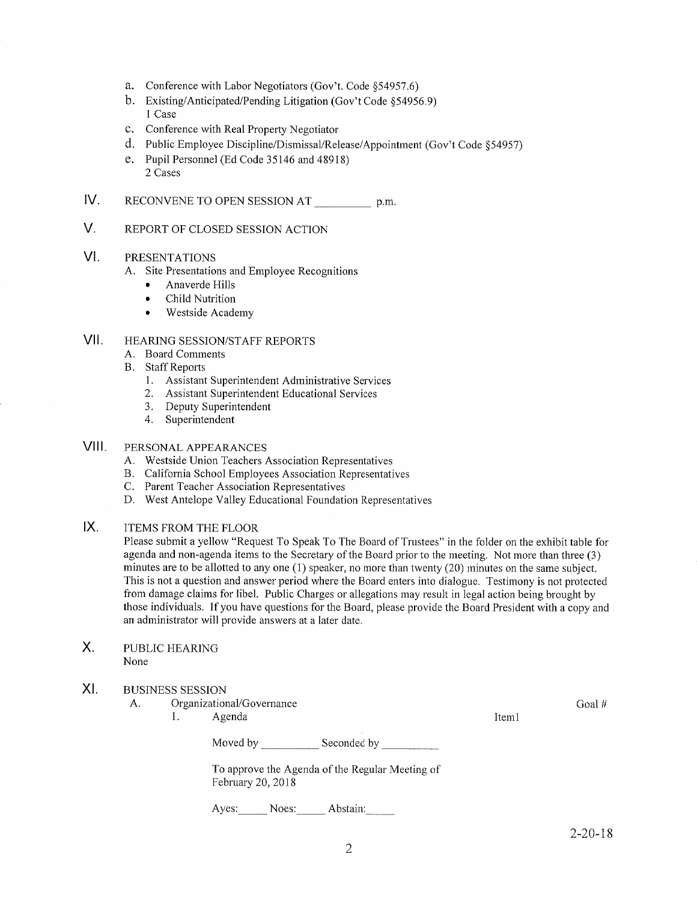- 
- a. Conference with Labor Negotiators (Gov't. Code §54957.6)<br>b. Existing/Anticipated/Pending Litigation (Gov't Code §54956.9) l Case
- c. Conference with Real Property Negotiator
- d. Public Employee Discipline/Dismissal/Release/Appointment (Gov't Code 954957)
- e. Pupil Personnel (Ed Code 35146 and 48918) 2 Cases
- IV RECONVENE TO OPEN SESSION AT p.m.
- $V_{\perp}$ REPORT OF CLOSED SESSION ACTION

#### VI PRESENTATIONS

- A. Site Presentations and Employee Recognitions
	- . Anaverde Hills
	- . Child Nutrition
	- . Westside Academy

#### HEARING SESSION/STAFF REPORTS vil

- 
- 
- A. Board Comments<br>
B. Staff Reports<br>
1. Assistant Superintendent Administrative Services<br>
2. Assistant Superintendent Educational Services<br>
3. Deputy Superintendent<br>
4. Superintendent
	-
	-
	-

#### PERSONAL APPEARANCES vilt.

- 
- A. Westside Union Teachers Association Representatives<br>
B. California School Employees Association Representatives<br>
C. Parent Teacher Association Representatives<br>
D. West Antelope Valley Educational Foundation Representati
- 
- 

#### ITEMS FROM THE FLOOR IX

Please submit a yellow "Request To Speak To The Board of Trustees" in the folder on the exhibit table for agenda and non-agenda items to the Secretary of the Board prior to the meeting. Not more than three (3) minutes are to be allotted to any one  $(1)$  speaker, no more than twenty  $(20)$  minutes on the same subject. This is not a question and answer period where the Board enters into dialogue. Testimony is not protected from damage claims for libel. Public Charges or allegations may result in legal action being brought by those individuals. If you have questions for the Board, please provide the Board President with a copy and an administrator will provide answers at a later date.

X. PUBLIC HEARING None

#### XI BUSINESS SESSION

- A. Organizational/Govemance 1. Agenda
	-

Moved by \_\_\_\_\_\_\_\_\_\_\_\_\_ Seconded by

To approve the Agenda of the Regular Meeting of February 20,2018

Ayes; Noes: Abstain:

Goal #

Iteml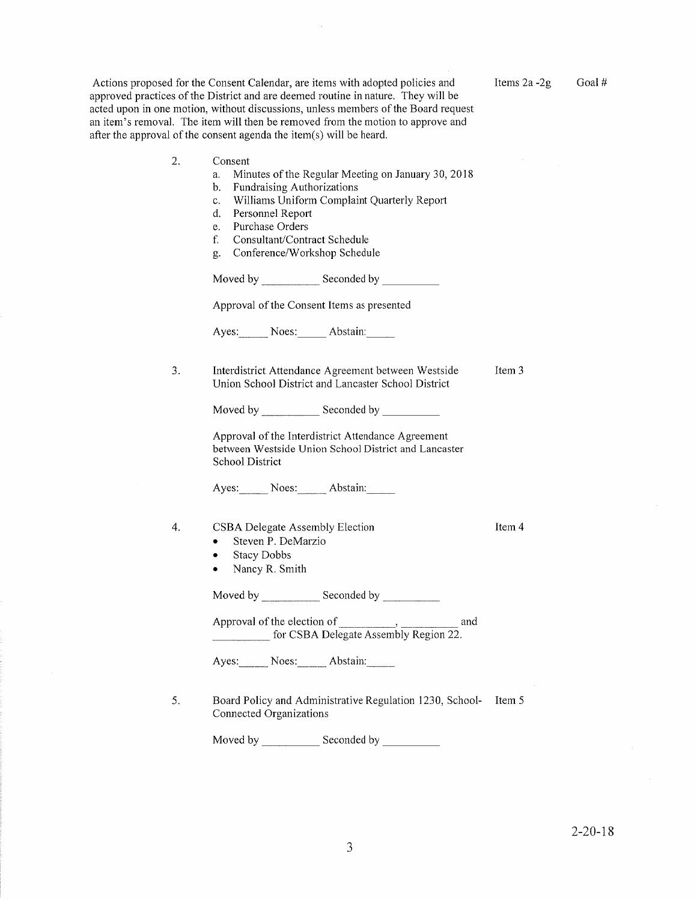Actions proposed for the Consent Calendar, are items with adopted policies and approved practices of the District and are deemed routine in nature. They will be acted upon in one motion, without discussions, unless members of the Board request an item's removal. The item will then be removed from the motion to approve and after the approval of the consent agenda the item(s) will be heard.

2. Consent a. Minutes of the Regular Meeting on January 30, 2018<br>b. Fundraising Authorizations c. Williams Uniform Complaint Quarterly Report d. Personnel Report e. Purchase Orders f. Consultant/Contract Schedule g. Conference/Workshop Schedule Moved by Seconded by Interdistrict Attendance Agreement between Westside Union School District and Lancaster School District Item 3 Ayes: Noes: Abstain: Moved by \_\_\_\_\_\_\_\_\_\_\_\_\_ Seconded by Aves: Noes: Abstain: Approval of the Consent Items as presented Approval of the Interdistrict Attendance Agreement between Westside Union School District and Lancaster School District

#### CSBA Delegate Assembly Election  $\overline{4}$ .

- . Steven P. DeMarzio
- Stacy Dobbs

3.

• Nancy R. Smith

Moved by Seconded by

Approval of the election of the state of the state of  $\alpha$ , and  $\alpha$ for CSBA Delegate Assembly Region 22.

Ayes: Noes: Abstain:

5. Board Policy and Administrative Regulation 1230, School- Item <sup>5</sup> Connected Organizations

Moved by Seconded by

Items  $2a - 2g$  Goal #

Item 4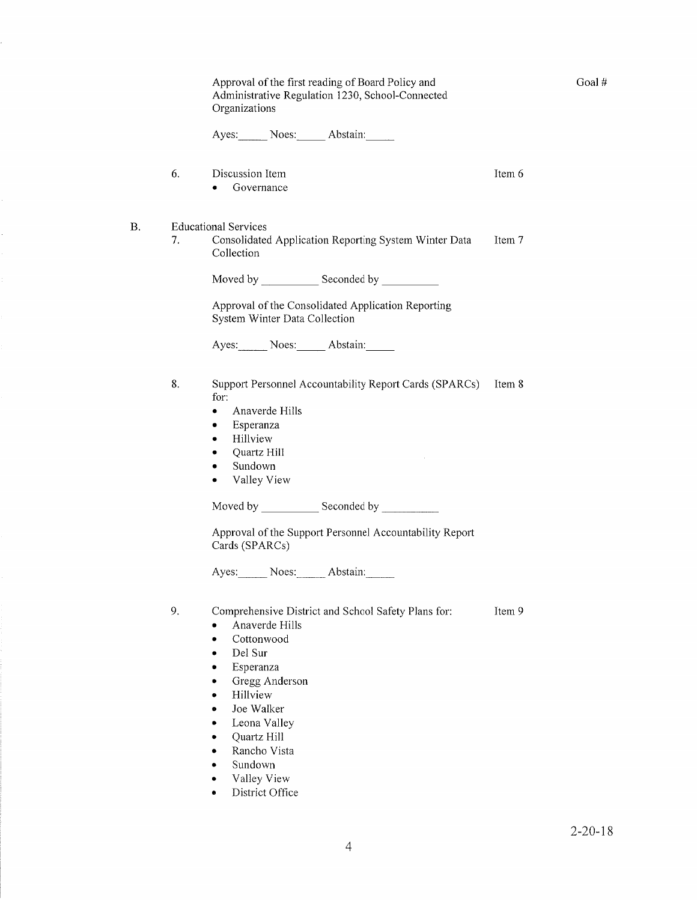|    |    | Approval of the first reading of Board Policy and<br>Administrative Regulation 1230, School-Connected<br>Organizations                                                                                                                                                                           |        |
|----|----|--------------------------------------------------------------------------------------------------------------------------------------------------------------------------------------------------------------------------------------------------------------------------------------------------|--------|
|    |    | Ayes: Noes: Abstain:                                                                                                                                                                                                                                                                             |        |
|    | 6. | Discussion Item<br>Governance<br>$\bullet$                                                                                                                                                                                                                                                       | Item 6 |
| В. | 7. | <b>Educational Services</b><br>Consolidated Application Reporting System Winter Data<br>Collection                                                                                                                                                                                               | Item 7 |
|    |    |                                                                                                                                                                                                                                                                                                  |        |
|    |    | Approval of the Consolidated Application Reporting<br>System Winter Data Collection                                                                                                                                                                                                              |        |
|    |    | Ayes: Noes: Abstain:                                                                                                                                                                                                                                                                             |        |
|    | 8. | Support Personnel Accountability Report Cards (SPARCs)<br>for:<br>Anaverde Hills<br>۰<br>Esperanza<br>٠<br>Hillview<br>٠<br>Quartz Hill<br>٠<br>Sundown<br>٠<br>Valley View<br>٠                                                                                                                 | Item 8 |
|    |    | Moved by _________________ Seconded by ______________                                                                                                                                                                                                                                            |        |
|    |    | Approval of the Support Personnel Accountability Report<br>Cards (SPARCs)<br>Ayes: Noes: Abstain:                                                                                                                                                                                                |        |
|    |    |                                                                                                                                                                                                                                                                                                  |        |
|    | 9. | Comprehensive District and School Safety Plans for:<br>Anaverde Hills<br>Cottonwood<br>$\bullet$<br>Del Sur<br>$\bullet$<br>Esperanza<br>٠<br>Gregg Anderson<br>٠<br>Hillview<br>$\bullet$<br>Joe Walker<br>۰<br>Leona Valley<br>۰<br>Quartz Hill<br>٠<br>Rancho Vista<br>Sundown<br>Valley View | Item 9 |

 $\bullet$ District Office Goal #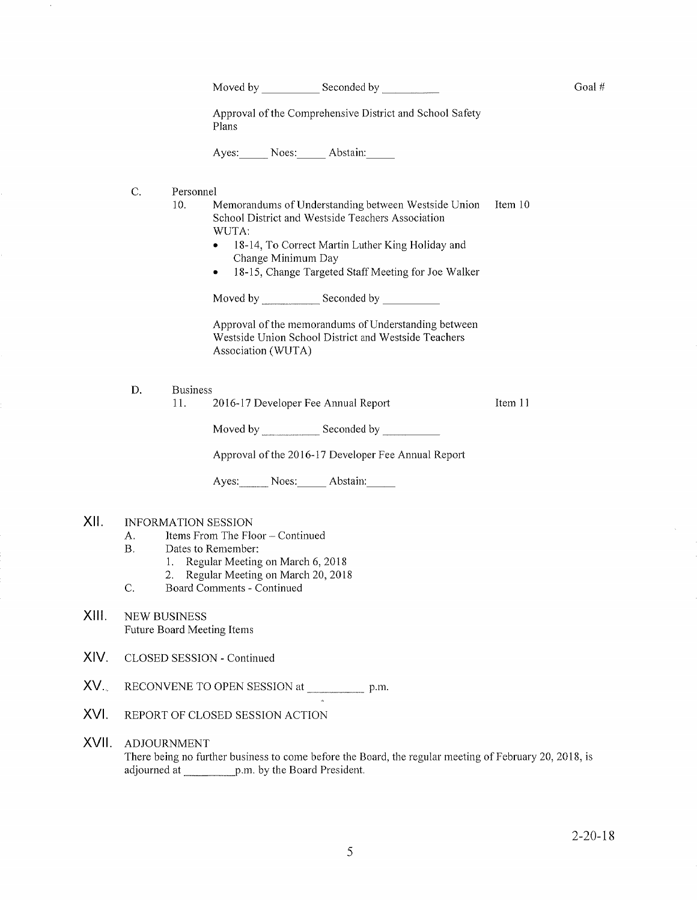Moved by Seconded by

Approval of the Comprehensive District and School Safety Plans

Ayes: Noes: Abstain:

c.

Item 10 Personnel<br>10. Memorandums of Understanding between Westside Union School District and Westside Teachers Association WUTA:

- 18-14, To Correct Martin Luther King Holiday and Change Minimum Day
- . 18-15, Change Targeted Staff Meeting for Joe walker

Moved by \_\_\_\_\_\_\_\_\_\_\_\_\_ Seconded by

Approval of the memorandums of Understanding between Westside Union School District and Westside Teachers Association (WUTA)

D. Business

]l.

2016-17 Developer Fee Annual Report

Moved by \_\_\_\_\_\_\_\_\_\_\_\_\_ Seconded by

Approval of the 2016-17 Developer Fee Annual Report

Ayes: Noes: Abstain

#### XII. INFORMATION SESSION

- A. Items From The Floor Continued<br>B. Dates to Remember:<br>1. Regular Meeting on March 6, 2018<br>2. Regular Meeting on March 20, 2018<br>C. Board Comments Continued
- -
	-
- 
- NEW BUSINESS Future Board Meeting Items xilt
- XIV. CLOSED SESSION - Continued
- $XV_{\cdots}$ RECONVENE TO OPEN SESSION at p.m.
- XVI. REPORT OF CLOSED SESSION ACTION

### XVII ADJOURNMENT

There being no further business to come before the Board, the regular meeting of February 20, 2018, is adjourned at \_\_\_\_\_\_\_\_\_\_ p.m. by the Board President.

Item <sup>1</sup><sup>1</sup>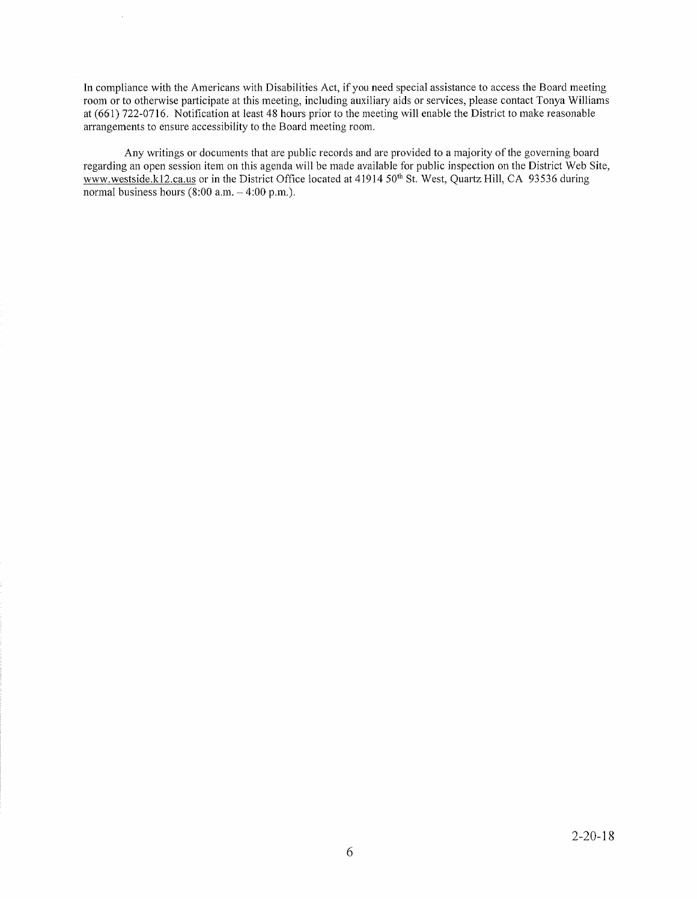In compliance with the Americans with Disabilities Act, if you need special assistance to access the Board meeting room or to otherwise participate at this meeting, including auxiliary aids or services, please contact Tonya Williams at (661) 722-0716. Notification at least 48 hours prior to the meeting will enable the District to make reasonable arrangements to ensure accessibility to the Board meeting room.

Any writings or documents that are public records and are provided to a majority of the governing board regarding an open session item on this agenda will be made available for public inspection on the District Web Site, www.westside.kl2.ca.us or in the District Office located at 41914 50<sup>th</sup> St. West, Quartz Hill, CA 93536 during normal business hours  $(8:00$  a,m.  $-4:00$  p,m.).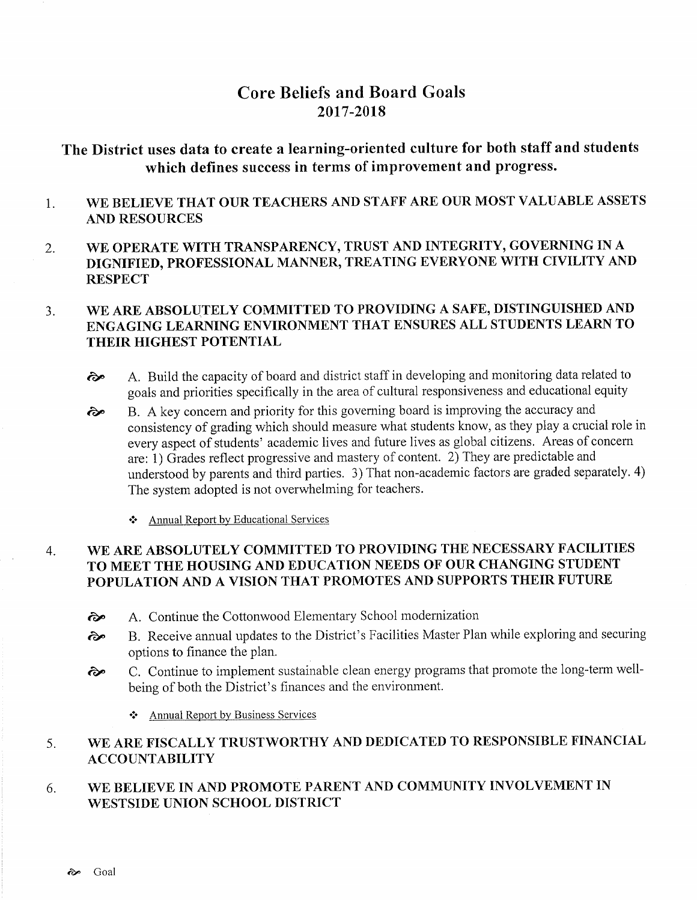# Core Beliefs and Board Goals 2017-2018

# The District uses data to create a learning-oriented culture for both staff and students which defines success in terms of improvement and progress.

- WE BELIEVE THAT OUR TEACHERS AND STAFF ARE OUR MOST VALUABLE ASSETS 1. AND RESOURCES
- 2. WE OPERATE WITH TRANSPARENCY, TRUST AND INTEGRITY, GOVERNING IN A DIGNIFIED, PROFESSIONAL MANNER, TREATING EVERYONE WITH CIVILITY AND **RESPECT**

### WE ARE ABSOLUTELY COMMITTED TO PROVIDING A SAFE, DISTINGUISHED AND 3. ENGAGING LEARNING ENVIRONMENT THAT ENSURES ALL STUDENTS LEARN TO THEIR HIGHEST POTENTIAL

- èp A. Build the capacity of board and district staff in developing and monitoring data related to goals and priorities specifically in the area of cultural responsiveness and educational equity
- $\hat{\epsilon}$  B. A key concern and priority for this governing board is improving the accuracy and consistency of grading which should measure what students know, as they play a crucial role in every aspect of students' academic lives and future lives as global citizens. Areas of concern are: 1) Grades reflect progressive and mastery of content. 2) They are predictable and understood by parents and third parties. 3) That non-academic factors are graded separately. 4) The system adopted is not overwhelming for teachers.
	- ❖ Annual Report by Educational Services

### WE ARE ABSOLUTELY COMMITTED TO PROVIDING THE NECESSARY FACILITIES TO MEET THE HOUSING AND EDUCATION NEEDS OF OUR CHANGING STUDENT POPULATION AND A VISION THAT PROMOTES AND SUPPORTS THEIR FUTURE 4.

- èp A. Continue the Cottonwood Elementary School modemization
- èp B. Receive annual updates to the District's Facilities Master Plan while exploring and securing options to finance the plan.
- èp C. Continue to implement sustainable clean energy programs that promote the long-term wellbeing of both the District's finances and the environment.
	- $\triangle$  Annual Report by Business Services

#### WE ARE FISCALLY TRUSTWORTHY AND DEDICATED TO RESPONSIBLE FINANCIAL ÄCCOUNTABILITY 5.

#### WE BELIEVE IN AND PROMOTE PARENT AND COMMUNITY INVOLVEMENT IN WESTSIDE UNION SCHOOL DISTRICT 6.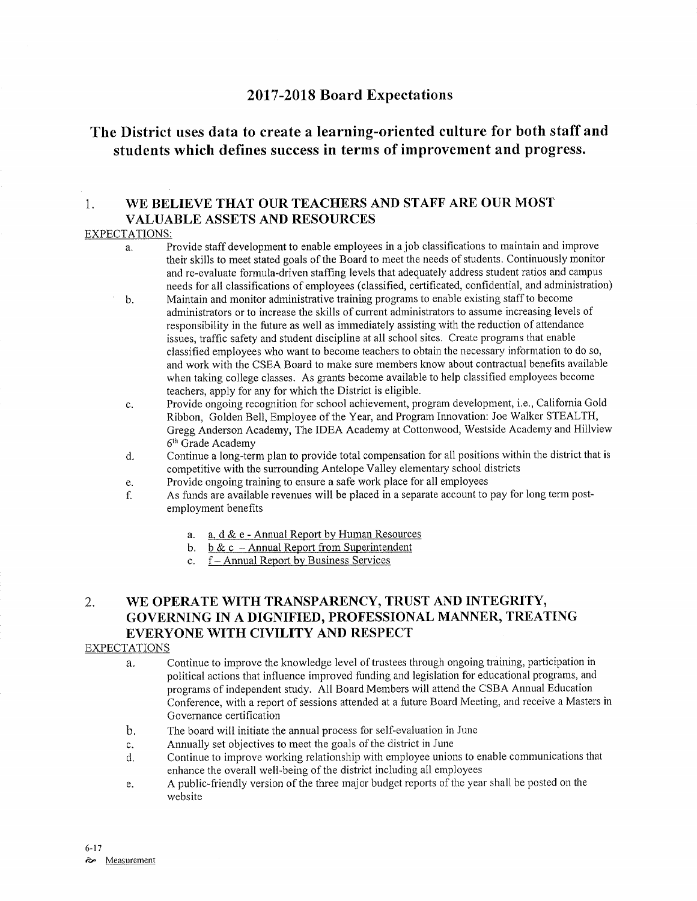# <sup>2011</sup>-2018 Board Expectations

# The District uses data to create a learning-oriented culture for both staffand students which defines success in terms of improvement and progress.

## 1. WE BELIEVE THAT OUR TEACHERS AND STAFF ARE OUR MOST VALUABLE ASSETS AND RESOURCES

## EXPECTATIONS:

- a. Provide staff development to enable employees in a job classifications to maintain and improve their skills to meet stated goals of the Board to meet the needs of students. Continuously monitor and re-evaluate formula-driven staffing levels that adequately address student ratios and campus<br>needs for all classifications of employees (classified, certificated, confidential, and administration)
- b. Maintain and monitor administrative training programs to enable existing staff to become administrators or to increase the skills of current administrators to assume increasing levels of responsibility in the future as well as immediately assisting with the reduction of attendance issues, traffic safety and student discipline at all school sites. Create programs that enable classified employees who want to become teachers to obtain the necessary information to do so, and work with the CSEA Board to make sure members know about contractual benefits available when taking college classes. As grants become available to help classified employees become teachers, apply for any for which the District is eligible.
- c. Provide ongoing recognition for school achievement, program deveìopment, i.e., Califomia Gold Ribbon, Golden Bell, Employee of the Year, and Program Innovation: Joe Walker STEALTH, Gregg Anderson Academy, The IDEA Academy at Cottonwood, Westside Academy and Hillview 6<sup>th</sup> Grade Academy
- d. Continue a long-term plan to provide total compensation for all positions within the district that is competitive with the surrounding Antelope Valley elementary school districts<br>Provide ongoing training to ensure a safe work place for all employees
- 
- e. Provide ongoing training to ensure a safe work place for all employees **holds an** Provide ong term post-<br>f. As funds are available revenues will be placed in a separate account to pay for long term postemployment benefits
	- a. a. d & e Annual Report by Human Resources<br>b. b & c Annual Report from Superintendent
	-
	- c. f Annual Report by Business Services

# 2. WE OPERATE WITH TRANSPARENCY, TRUST AND INTEGRITY, GOVERNING IN A DIGNIFIED, PROFESSIONAL MANNER, TREATING EVERYONE WITH CIVILITY AND RESPECT

### EXPECTATIONS

- a. Continue to improve the knowledge level of trustees through ongoing training, participation in political actions that influence improved funding and legislation for educational programs, and programs of independent study. AIl Board Members will attend the CSBA Annual Education Conference, with a report of sessions attended at a future Board Meeting, and receive a Masters in Governance certification
- b. The board will initiate the annual process for self-evaluation in June
- 
- c. Annually set objectives to meet the goals of the district in June<br>d. Continue to improve working relationship with employee unions to enable communications that enhance the overall well-being of the district including all employees
- e. A public-friendly version of the three major budget reports of the year shall be posted on the website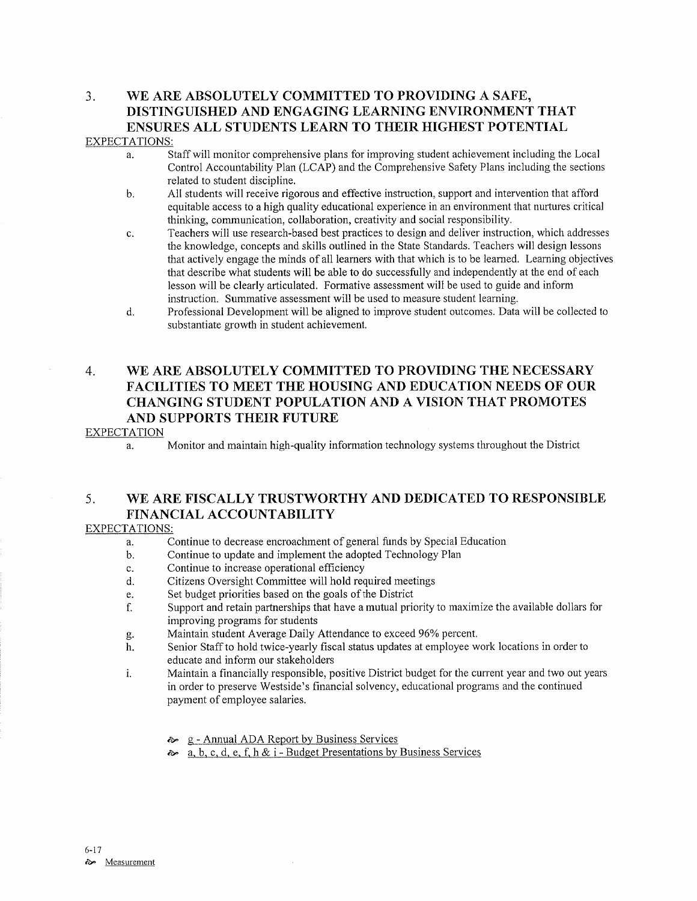# 3. WE ARE ABSOLUTELY COMMITTED TO PROVIDING A SAFE, DISTINGUISHED AND ENGAGING LEARNING ENVIRONMENT THAT ENSURES ALL STUDENTS LEARN TO THEIR HIGHEST POTENTIAL

### EXPECTATIONS:

- a. Staffwill monitor comprehensive plans for improving student achievement including the Local Control Accountabiliry Plan (LCAP) and the Comprehensive Safety Plans including the sections
- b. All students will receive rigorous and effective instruction, support and intervention that afford equitable access to a high quality educational experience in an environment that nurtures critical thinking, communication, collaboration, creativity and social responsibility.
- c. Teachers will use research-based best practices to design and deliver instruction, which addresses the knowledge, concepts and skills outlined in the State Standards. Teachers will design Iessons that actively engage the minds of all learners with that which is to be learned. Learning objectives that describe what students will be able to do successfully and independently at the end of each lesson will be clearly articulated. Formative assessment will be used to guide and inform instruction. Summative assessment will be used to measure student learning.
- d. Professional Development will be aligned to improve student outcomes. Data will be collected to substantiate growth in student achievement.

# 4. WE ARE ABSOLUTELY COMMITTED TO PROVIDING THE NECESSARY FACILITIES TO MEET THE HOUSING AND EDUCATION NEEDS OF OUR CHANGING STUDENT POPULATION AND A VISION THAT PROMOTES AND SUPPORTS THEIR FUTURE

### **EXPECTATION**

a. Monitor and maintain high-quality information technology systems throughout the Disfrict

# 5. WE ARE FISCALLY TRUSTWORTHY AND DEDICATED TO RESPONSIBLE FINANCIAL ACCOUNTABILITY

### EXPECTATIONS:

- a. Continue to decrease encroachment of general funds by Special Education<br>b. Continue to update and implement the adopted Technology Plan<br>c. Continue to increase operational efficiency
- 
- 
- c. Continue to increase operational efficiency<br>
d. Citizens Oversight Committee will hold required meetings<br>
e. Set budget priorities based on the goals of the District
- 
- e. Set budget priorities based on the goals of the District ending the state in Support and retain partnerships that have a mutual priority to maximize the available dollars for improving programs for students<br>Maintain student Average Daily Attendance to exceed 96% percent.
- 
- g. Maintain student Average Daily Attendance to exceed 96% percent.<br>h. Senior Staff to hold twice-yearly fiscal status updates at employee work locations in order to educate and inform our stakeholders
- i. Maintain a financially responsible, positive District budget for the current year and two out years in order to preserve Westside's financial solvency, educational programs and the continued payment of employee salaries.
	- 8 Annual ADA Report by Business Services
	- $\lambda$  a, b, c, d, e, f, h & i Budget Presentations by Business Services